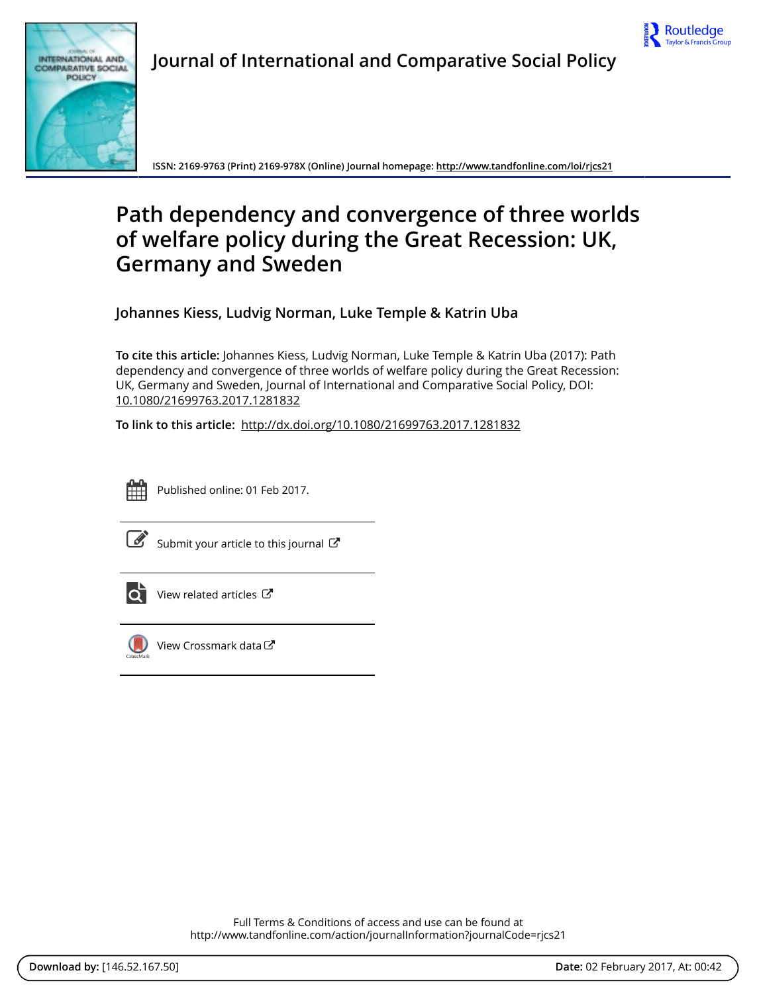



**Journal of International and Comparative Social Policy**

**ISSN: 2169-9763 (Print) 2169-978X (Online) Journal homepage: <http://www.tandfonline.com/loi/rjcs21>**

# **Path dependency and convergence of three worlds of welfare policy during the Great Recession: UK, Germany and Sweden**

**Johannes Kiess, Ludvig Norman, Luke Temple & Katrin Uba**

**To cite this article:** Johannes Kiess, Ludvig Norman, Luke Temple & Katrin Uba (2017): Path dependency and convergence of three worlds of welfare policy during the Great Recession: UK, Germany and Sweden, Journal of International and Comparative Social Policy, DOI: [10.1080/21699763.2017.1281832](http://www.tandfonline.com/action/showCitFormats?doi=10.1080/21699763.2017.1281832)

**To link to this article:** <http://dx.doi.org/10.1080/21699763.2017.1281832>



Published online: 01 Feb 2017.



 $\overrightarrow{S}$  [Submit your article to this journal](http://www.tandfonline.com/action/authorSubmission?journalCode=rjcs21&show=instructions)  $\overrightarrow{S}$ 



 $\overline{\mathbf{Q}}$  [View related articles](http://www.tandfonline.com/doi/mlt/10.1080/21699763.2017.1281832)  $\mathbf{C}$ 



[View Crossmark data](http://crossmark.crossref.org/dialog/?doi=10.1080/21699763.2017.1281832&domain=pdf&date_stamp=2017-02-01)<sup>で</sup>

Full Terms & Conditions of access and use can be found at <http://www.tandfonline.com/action/journalInformation?journalCode=rjcs21>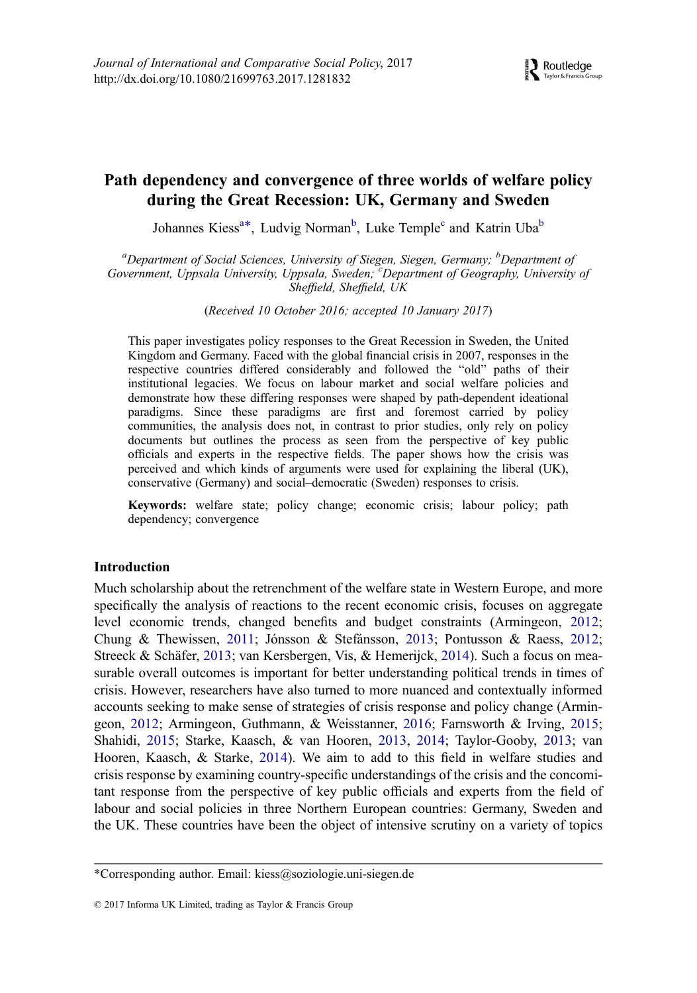## <span id="page-1-0"></span>Path dependency and convergence of three worlds of welfare policy during the Great Recession: UK, Germany and Sweden

Johannes Kiess<sup>a\*</sup>, Ludvig Norman<sup>b</sup>, Luke Temple<sup>c</sup> and Katrin Uba<sup>b</sup>

<sup>a</sup>Department of Social Sciences, University of Siegen, Siegen, Germany; <sup>b</sup>Department of Government, Uppsala University, Uppsala, Sweden; <sup>c</sup>Department of Geography, University of Sheffield, Sheffield, UK

(Received 10 October 2016; accepted 10 January 2017)

This paper investigates policy responses to the Great Recession in Sweden, the United Kingdom and Germany. Faced with the global financial crisis in 2007, responses in the respective countries differed considerably and followed the "old" paths of their institutional legacies. We focus on labour market and social welfare policies and demonstrate how these differing responses were shaped by path-dependent ideational paradigms. Since these paradigms are first and foremost carried by policy communities, the analysis does not, in contrast to prior studies, only rely on policy documents but outlines the process as seen from the perspective of key public officials and experts in the respective fields. The paper shows how the crisis was perceived and which kinds of arguments were used for explaining the liberal (UK), conservative (Germany) and social–democratic (Sweden) responses to crisis.

Keywords: welfare state; policy change; economic crisis; labour policy; path dependency; convergence

## Introduction

Much scholarship about the retrenchment of the welfare state in Western Europe, and more specifically the analysis of reactions to the recent economic crisis, focuses on aggregate level economic trends, changed benefits and budget constraints (Armingeon, [2012;](#page-14-0) Chung & Thewissen, [2011](#page-14-0); Jónsson & Stefánsson, [2013](#page-15-0); Pontusson & Raess, [2012;](#page-16-0) Streeck & Schäfer, [2013](#page-16-0); van Kersbergen, Vis, & Hemerijck, [2014](#page-15-0)). Such a focus on measurable overall outcomes is important for better understanding political trends in times of crisis. However, researchers have also turned to more nuanced and contextually informed accounts seeking to make sense of strategies of crisis response and policy change (Armingeon, [2012;](#page-14-0) Armingeon, Guthmann, & Weisstanner, [2016;](#page-14-0) Farnsworth & Irving, [2015;](#page-15-0) Shahidi, [2015](#page-16-0); Starke, Kaasch, & van Hooren, [2013](#page-16-0), [2014](#page-16-0); Taylor-Gooby, [2013;](#page-16-0) van Hooren, Kaasch, & Starke, [2014\)](#page-15-0). We aim to add to this field in welfare studies and crisis response by examining country-specific understandings of the crisis and the concomitant response from the perspective of key public officials and experts from the field of labour and social policies in three Northern European countries: Germany, Sweden and the UK. These countries have been the object of intensive scrutiny on a variety of topics

<sup>\*</sup>Corresponding author. Email: [kiess@soziologie.uni-siegen.de](mailto:kiess@soziologie.uni-siegen.de)

<sup>© 2017</sup> Informa UK Limited, trading as Taylor & Francis Group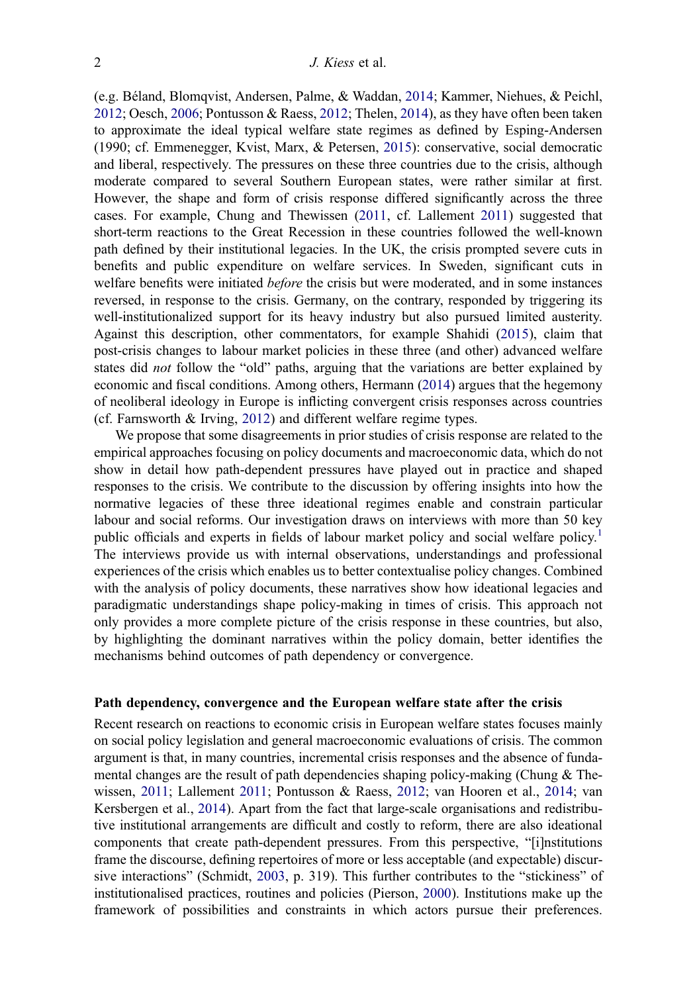## <span id="page-2-0"></span>2 J. Kiess et al.

(e.g. Béland, Blomqvist, Andersen, Palme, & Waddan, [2014;](#page-14-0) Kammer, Niehues, & Peichl, [2012;](#page-15-0) Oesch, [2006;](#page-15-0) Pontusson & Raess, [2012;](#page-16-0) Thelen, [2014](#page-16-0)), as they have often been taken to approximate the ideal typical welfare state regimes as defined by Esping-Andersen (1990; cf. Emmenegger, Kvist, Marx, & Petersen, [2015\)](#page-14-0): conservative, social democratic and liberal, respectively. The pressures on these three countries due to the crisis, although moderate compared to several Southern European states, were rather similar at first. However, the shape and form of crisis response differed significantly across the three cases. For example, Chung and Thewissen [\(2011,](#page-14-0) cf. Lallement [2011](#page-15-0)) suggested that short-term reactions to the Great Recession in these countries followed the well-known path defined by their institutional legacies. In the UK, the crisis prompted severe cuts in benefits and public expenditure on welfare services. In Sweden, significant cuts in welfare benefits were initiated before the crisis but were moderated, and in some instances reversed, in response to the crisis. Germany, on the contrary, responded by triggering its well-institutionalized support for its heavy industry but also pursued limited austerity. Against this description, other commentators, for example Shahidi ([2015\)](#page-16-0), claim that post-crisis changes to labour market policies in these three (and other) advanced welfare states did not follow the "old" paths, arguing that the variations are better explained by economic and fiscal conditions. Among others, Hermann ([2014\)](#page-15-0) argues that the hegemony of neoliberal ideology in Europe is inflicting convergent crisis responses across countries (cf. Farnsworth & Irving, [2012\)](#page-15-0) and different welfare regime types.

We propose that some disagreements in prior studies of crisis response are related to the empirical approaches focusing on policy documents and macroeconomic data, which do not show in detail how path-dependent pressures have played out in practice and shaped responses to the crisis. We contribute to the discussion by offering insights into how the normative legacies of these three ideational regimes enable and constrain particular labour and social reforms. Our investigation draws on interviews with more than 50 key public officials and experts in fields of labour market policy and social welfare policy.<sup>[1](#page-13-0)</sup> The interviews provide us with internal observations, understandings and professional experiences of the crisis which enables us to better contextualise policy changes. Combined with the analysis of policy documents, these narratives show how ideational legacies and paradigmatic understandings shape policy-making in times of crisis. This approach not only provides a more complete picture of the crisis response in these countries, but also, by highlighting the dominant narratives within the policy domain, better identifies the mechanisms behind outcomes of path dependency or convergence.

### Path dependency, convergence and the European welfare state after the crisis

Recent research on reactions to economic crisis in European welfare states focuses mainly on social policy legislation and general macroeconomic evaluations of crisis. The common argument is that, in many countries, incremental crisis responses and the absence of fundamental changes are the result of path dependencies shaping policy-making (Chung  $&$  Thewissen, [2011;](#page-14-0) Lallement [2011](#page-15-0); Pontusson & Raess, [2012](#page-16-0); van Hooren et al., [2014;](#page-15-0) van Kersbergen et al., [2014](#page-15-0)). Apart from the fact that large-scale organisations and redistributive institutional arrangements are difficult and costly to reform, there are also ideational components that create path-dependent pressures. From this perspective, "[i]nstitutions frame the discourse, defining repertoires of more or less acceptable (and expectable) discursive interactions" (Schmidt, [2003,](#page-16-0) p. 319). This further contributes to the "stickiness" of institutionalised practices, routines and policies (Pierson, [2000\)](#page-15-0). Institutions make up the framework of possibilities and constraints in which actors pursue their preferences.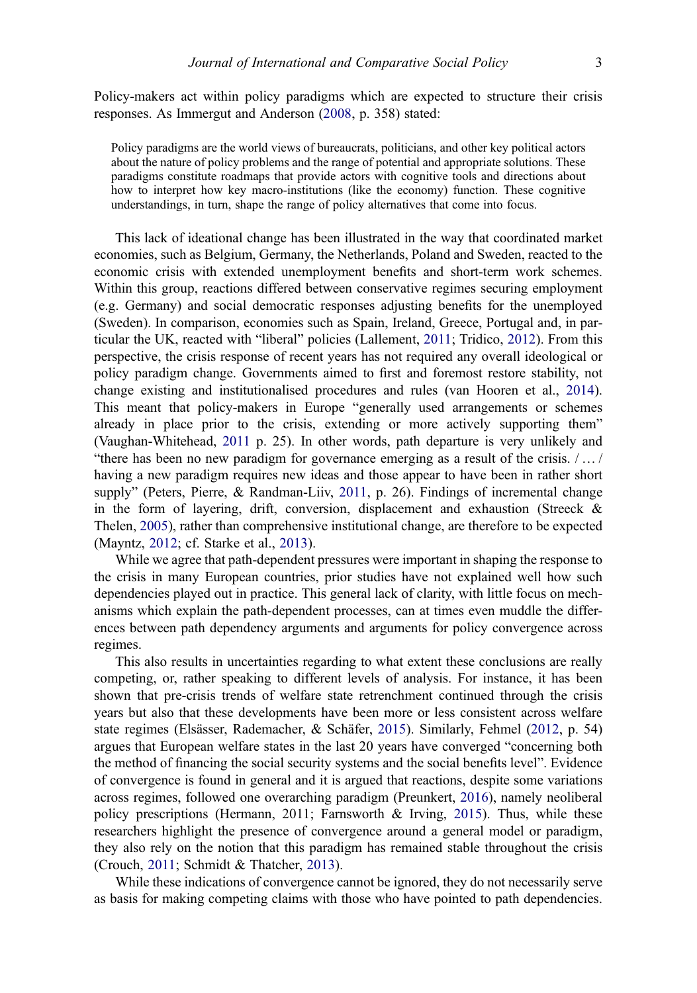<span id="page-3-0"></span>Policy-makers act within policy paradigms which are expected to structure their crisis responses. As Immergut and Anderson ([2008,](#page-15-0) p. 358) stated:

Policy paradigms are the world views of bureaucrats, politicians, and other key political actors about the nature of policy problems and the range of potential and appropriate solutions. These paradigms constitute roadmaps that provide actors with cognitive tools and directions about how to interpret how key macro-institutions (like the economy) function. These cognitive understandings, in turn, shape the range of policy alternatives that come into focus.

This lack of ideational change has been illustrated in the way that coordinated market economies, such as Belgium, Germany, the Netherlands, Poland and Sweden, reacted to the economic crisis with extended unemployment benefits and short-term work schemes. Within this group, reactions differed between conservative regimes securing employment (e.g. Germany) and social democratic responses adjusting benefits for the unemployed (Sweden). In comparison, economies such as Spain, Ireland, Greece, Portugal and, in particular the UK, reacted with "liberal" policies (Lallement, [2011;](#page-15-0) Tridico, [2012](#page-16-0)). From this perspective, the crisis response of recent years has not required any overall ideological or policy paradigm change. Governments aimed to first and foremost restore stability, not change existing and institutionalised procedures and rules (van Hooren et al., [2014\)](#page-15-0). This meant that policy-makers in Europe "generally used arrangements or schemes already in place prior to the crisis, extending or more actively supporting them" (Vaughan-Whitehead, [2011](#page-16-0) p. 25). In other words, path departure is very unlikely and "there has been no new paradigm for governance emerging as a result of the crisis.  $/$ ... having a new paradigm requires new ideas and those appear to have been in rather short supply" (Peters, Pierre, & Randman-Liiv, [2011,](#page-15-0) p. 26). Findings of incremental change in the form of layering, drift, conversion, displacement and exhaustion (Streeck  $\&$ Thelen, [2005](#page-16-0)), rather than comprehensive institutional change, are therefore to be expected (Mayntz, [2012;](#page-15-0) cf. Starke et al., [2013\)](#page-16-0).

While we agree that path-dependent pressures were important in shaping the response to the crisis in many European countries, prior studies have not explained well how such dependencies played out in practice. This general lack of clarity, with little focus on mechanisms which explain the path-dependent processes, can at times even muddle the differences between path dependency arguments and arguments for policy convergence across regimes.

This also results in uncertainties regarding to what extent these conclusions are really competing, or, rather speaking to different levels of analysis. For instance, it has been shown that pre-crisis trends of welfare state retrenchment continued through the crisis years but also that these developments have been more or less consistent across welfare state regimes (Elsässer, Rademacher, & Schäfer, [2015\)](#page-14-0). Similarly, Fehmel ([2012,](#page-15-0) p. 54) argues that European welfare states in the last 20 years have converged "concerning both the method of financing the social security systems and the social benefits level". Evidence of convergence is found in general and it is argued that reactions, despite some variations across regimes, followed one overarching paradigm (Preunkert, [2016\)](#page-16-0), namely neoliberal policy prescriptions (Hermann, 2011; Farnsworth  $\&$  Irving, [2015](#page-15-0)). Thus, while these researchers highlight the presence of convergence around a general model or paradigm, they also rely on the notion that this paradigm has remained stable throughout the crisis (Crouch, [2011](#page-14-0); Schmidt & Thatcher, [2013](#page-16-0)).

While these indications of convergence cannot be ignored, they do not necessarily serve as basis for making competing claims with those who have pointed to path dependencies.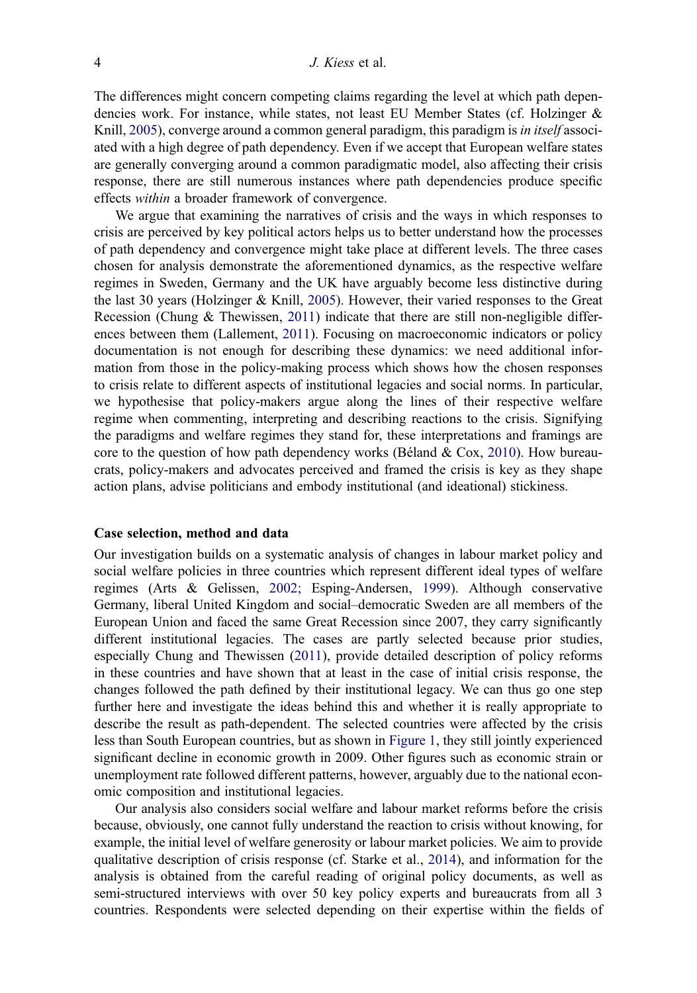<span id="page-4-0"></span>The differences might concern competing claims regarding the level at which path dependencies work. For instance, while states, not least EU Member States (cf. Holzinger & Knill, [2005\)](#page-15-0), converge around a common general paradigm, this paradigm is *in itself* associ-ated with a high degree of path dependency. Even if we accept that European welfare states are generally converging around a common paradigmatic model, also affecting their crisis response, there are still numerous instances where path dependencies produce specific effects within a broader framework of convergence.

We argue that examining the narratives of crisis and the ways in which responses to crisis are perceived by key political actors helps us to better understand how the processes of path dependency and convergence might take place at different levels. The three cases chosen for analysis demonstrate the aforementioned dynamics, as the respective welfare regimes in Sweden, Germany and the UK have arguably become less distinctive during the last 30 years (Holzinger & Knill, [2005\)](#page-15-0). However, their varied responses to the Great Recession (Chung & Thewissen, [2011](#page-14-0)) indicate that there are still non-negligible differences between them (Lallement, [2011\)](#page-15-0). Focusing on macroeconomic indicators or policy documentation is not enough for describing these dynamics: we need additional information from those in the policy-making process which shows how the chosen responses to crisis relate to different aspects of institutional legacies and social norms. In particular, we hypothesise that policy-makers argue along the lines of their respective welfare regime when commenting, interpreting and describing reactions to the crisis. Signifying the paradigms and welfare regimes they stand for, these interpretations and framings are core to the question of how path dependency works (Béland  $\&$  Cox, [2010](#page-14-0)). How bureaucrats, policy-makers and advocates perceived and framed the crisis is key as they shape action plans, advise politicians and embody institutional (and ideational) stickiness.

## Case selection, method and data

Our investigation builds on a systematic analysis of changes in labour market policy and social welfare policies in three countries which represent different ideal types of welfare regimes (Arts & Gelissen, [2002;](#page-14-0) Esping-Andersen, [1999](#page-14-0)). Although conservative Germany, liberal United Kingdom and social–democratic Sweden are all members of the European Union and faced the same Great Recession since 2007, they carry significantly different institutional legacies. The cases are partly selected because prior studies, especially Chung and Thewissen [\(2011](#page-14-0)), provide detailed description of policy reforms in these countries and have shown that at least in the case of initial crisis response, the changes followed the path defined by their institutional legacy. We can thus go one step further here and investigate the ideas behind this and whether it is really appropriate to describe the result as path-dependent. The selected countries were affected by the crisis less than South European countries, but as shown in [Figure 1,](#page-5-0) they still jointly experienced significant decline in economic growth in 2009. Other figures such as economic strain or unemployment rate followed different patterns, however, arguably due to the national economic composition and institutional legacies.

Our analysis also considers social welfare and labour market reforms before the crisis because, obviously, one cannot fully understand the reaction to crisis without knowing, for example, the initial level of welfare generosity or labour market policies. We aim to provide qualitative description of crisis response (cf. Starke et al., [2014](#page-16-0)), and information for the analysis is obtained from the careful reading of original policy documents, as well as semi-structured interviews with over 50 key policy experts and bureaucrats from all 3 countries. Respondents were selected depending on their expertise within the fields of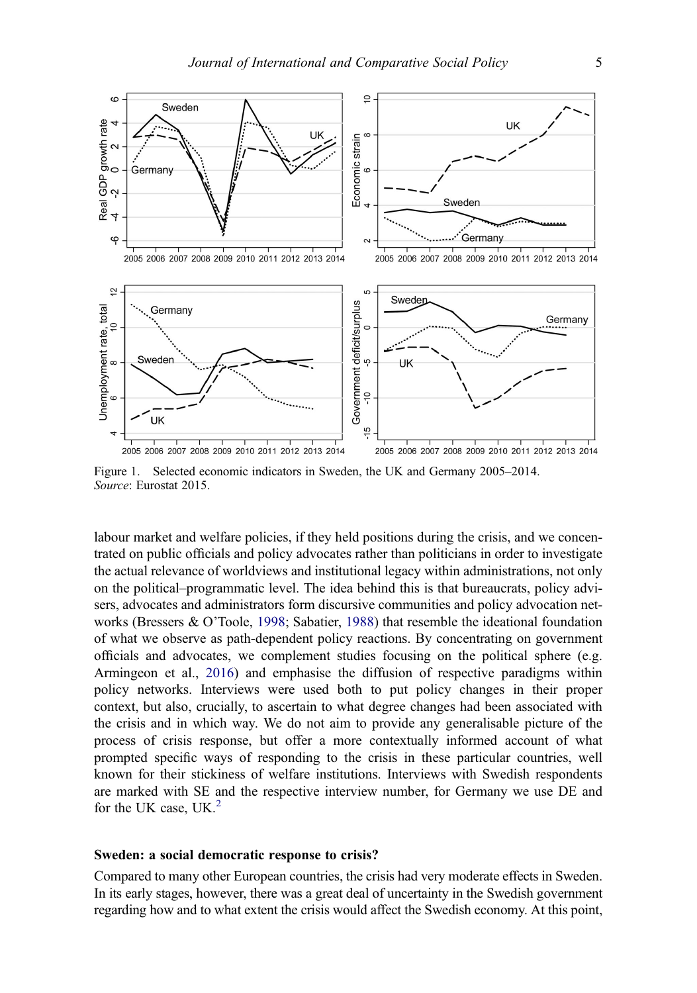<span id="page-5-0"></span>

Figure 1. Selected economic indicators in Sweden, the UK and Germany 2005–2014. Source: Eurostat 2015.

labour market and welfare policies, if they held positions during the crisis, and we concentrated on public officials and policy advocates rather than politicians in order to investigate the actual relevance of worldviews and institutional legacy within administrations, not only on the political–programmatic level. The idea behind this is that bureaucrats, policy advisers, advocates and administrators form discursive communities and policy advocation networks (Bressers & O'Toole, [1998;](#page-14-0) Sabatier, [1988\)](#page-16-0) that resemble the ideational foundation of what we observe as path-dependent policy reactions. By concentrating on government officials and advocates, we complement studies focusing on the political sphere (e.g. Armingeon et al., [2016\)](#page-14-0) and emphasise the diffusion of respective paradigms within policy networks. Interviews were used both to put policy changes in their proper context, but also, crucially, to ascertain to what degree changes had been associated with the crisis and in which way. We do not aim to provide any generalisable picture of the process of crisis response, but offer a more contextually informed account of what prompted specific ways of responding to the crisis in these particular countries, well known for their stickiness of welfare institutions. Interviews with Swedish respondents are marked with SE and the respective interview number, for Germany we use DE and for the UK case, UK. $^{2}$  $^{2}$  $^{2}$ 

## Sweden: a social democratic response to crisis?

Compared to many other European countries, the crisis had very moderate effects in Sweden. In its early stages, however, there was a great deal of uncertainty in the Swedish government regarding how and to what extent the crisis would affect the Swedish economy. At this point,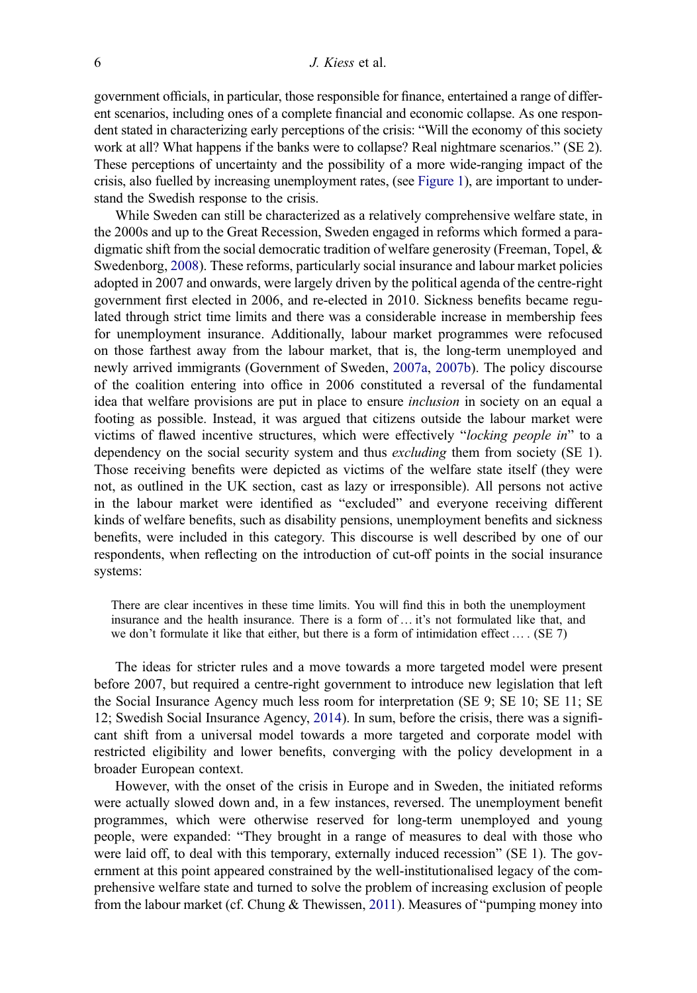<span id="page-6-0"></span>government officials, in particular, those responsible for finance, entertained a range of different scenarios, including ones of a complete financial and economic collapse. As one respondent stated in characterizing early perceptions of the crisis: "Will the economy of this society work at all? What happens if the banks were to collapse? Real nightmare scenarios." (SE 2). These perceptions of uncertainty and the possibility of a more wide-ranging impact of the crisis, also fuelled by increasing unemployment rates, (see [Figure 1\)](#page-5-0), are important to understand the Swedish response to the crisis.

While Sweden can still be characterized as a relatively comprehensive welfare state, in the 2000s and up to the Great Recession, Sweden engaged in reforms which formed a paradigmatic shift from the social democratic tradition of welfare generosity (Freeman, Topel, & Swedenborg, [2008\)](#page-15-0). These reforms, particularly social insurance and labour market policies adopted in 2007 and onwards, were largely driven by the political agenda of the centre-right government first elected in 2006, and re-elected in 2010. Sickness benefits became regulated through strict time limits and there was a considerable increase in membership fees for unemployment insurance. Additionally, labour market programmes were refocused on those farthest away from the labour market, that is, the long-term unemployed and newly arrived immigrants (Government of Sweden, [2007a,](#page-15-0) [2007b\)](#page-15-0). The policy discourse of the coalition entering into office in 2006 constituted a reversal of the fundamental idea that welfare provisions are put in place to ensure inclusion in society on an equal a footing as possible. Instead, it was argued that citizens outside the labour market were victims of flawed incentive structures, which were effectively "locking people in" to a dependency on the social security system and thus excluding them from society (SE 1). Those receiving benefits were depicted as victims of the welfare state itself (they were not, as outlined in the UK section, cast as lazy or irresponsible). All persons not active in the labour market were identified as "excluded" and everyone receiving different kinds of welfare benefits, such as disability pensions, unemployment benefits and sickness benefits, were included in this category. This discourse is well described by one of our respondents, when reflecting on the introduction of cut-off points in the social insurance systems:

There are clear incentives in these time limits. You will find this in both the unemployment insurance and the health insurance. There is a form of … it's not formulated like that, and we don't formulate it like that either, but there is a form of intimidation effect … . (SE 7)

The ideas for stricter rules and a move towards a more targeted model were present before 2007, but required a centre-right government to introduce new legislation that left the Social Insurance Agency much less room for interpretation (SE 9; SE 10; SE 11; SE 12; Swedish Social Insurance Agency, [2014](#page-16-0)). In sum, before the crisis, there was a significant shift from a universal model towards a more targeted and corporate model with restricted eligibility and lower benefits, converging with the policy development in a broader European context.

However, with the onset of the crisis in Europe and in Sweden, the initiated reforms were actually slowed down and, in a few instances, reversed. The unemployment benefit programmes, which were otherwise reserved for long-term unemployed and young people, were expanded: "They brought in a range of measures to deal with those who were laid off, to deal with this temporary, externally induced recession" (SE 1). The government at this point appeared constrained by the well-institutionalised legacy of the comprehensive welfare state and turned to solve the problem of increasing exclusion of people from the labour market (cf. Chung & Thewissen, [2011](#page-14-0)). Measures of "pumping money into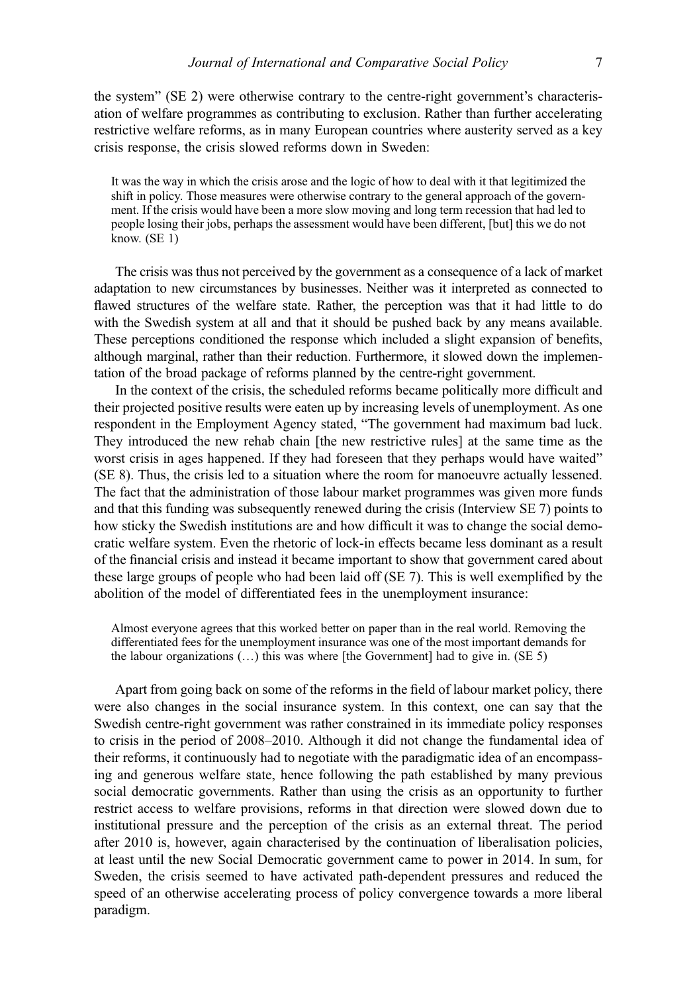the system" (SE 2) were otherwise contrary to the centre-right government's characterisation of welfare programmes as contributing to exclusion. Rather than further accelerating restrictive welfare reforms, as in many European countries where austerity served as a key crisis response, the crisis slowed reforms down in Sweden:

It was the way in which the crisis arose and the logic of how to deal with it that legitimized the shift in policy. Those measures were otherwise contrary to the general approach of the government. If the crisis would have been a more slow moving and long term recession that had led to people losing their jobs, perhaps the assessment would have been different, [but] this we do not know. (SE 1)

The crisis was thus not perceived by the government as a consequence of a lack of market adaptation to new circumstances by businesses. Neither was it interpreted as connected to flawed structures of the welfare state. Rather, the perception was that it had little to do with the Swedish system at all and that it should be pushed back by any means available. These perceptions conditioned the response which included a slight expansion of benefits, although marginal, rather than their reduction. Furthermore, it slowed down the implementation of the broad package of reforms planned by the centre-right government.

In the context of the crisis, the scheduled reforms became politically more difficult and their projected positive results were eaten up by increasing levels of unemployment. As one respondent in the Employment Agency stated, "The government had maximum bad luck. They introduced the new rehab chain [the new restrictive rules] at the same time as the worst crisis in ages happened. If they had foreseen that they perhaps would have waited" (SE 8). Thus, the crisis led to a situation where the room for manoeuvre actually lessened. The fact that the administration of those labour market programmes was given more funds and that this funding was subsequently renewed during the crisis (Interview SE 7) points to how sticky the Swedish institutions are and how difficult it was to change the social democratic welfare system. Even the rhetoric of lock-in effects became less dominant as a result of the financial crisis and instead it became important to show that government cared about these large groups of people who had been laid off (SE 7). This is well exemplified by the abolition of the model of differentiated fees in the unemployment insurance:

Almost everyone agrees that this worked better on paper than in the real world. Removing the differentiated fees for the unemployment insurance was one of the most important demands for the labour organizations (…) this was where [the Government] had to give in. (SE 5)

Apart from going back on some of the reforms in the field of labour market policy, there were also changes in the social insurance system. In this context, one can say that the Swedish centre-right government was rather constrained in its immediate policy responses to crisis in the period of 2008–2010. Although it did not change the fundamental idea of their reforms, it continuously had to negotiate with the paradigmatic idea of an encompassing and generous welfare state, hence following the path established by many previous social democratic governments. Rather than using the crisis as an opportunity to further restrict access to welfare provisions, reforms in that direction were slowed down due to institutional pressure and the perception of the crisis as an external threat. The period after 2010 is, however, again characterised by the continuation of liberalisation policies, at least until the new Social Democratic government came to power in 2014. In sum, for Sweden, the crisis seemed to have activated path-dependent pressures and reduced the speed of an otherwise accelerating process of policy convergence towards a more liberal paradigm.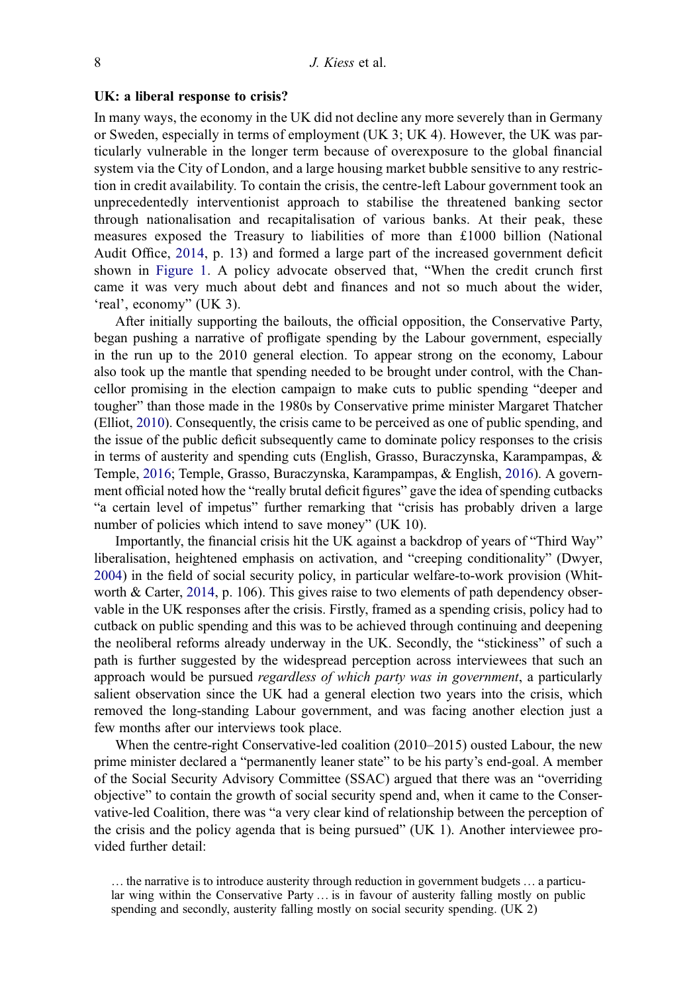#### <span id="page-8-0"></span>UK: a liberal response to crisis?

In many ways, the economy in the UK did not decline any more severely than in Germany or Sweden, especially in terms of employment (UK 3; UK 4). However, the UK was particularly vulnerable in the longer term because of overexposure to the global financial system via the City of London, and a large housing market bubble sensitive to any restriction in credit availability. To contain the crisis, the centre-left Labour government took an unprecedentedly interventionist approach to stabilise the threatened banking sector through nationalisation and recapitalisation of various banks. At their peak, these measures exposed the Treasury to liabilities of more than £1000 billion (National Audit Office, [2014,](#page-15-0) p. 13) and formed a large part of the increased government deficit shown in [Figure 1.](#page-5-0) A policy advocate observed that, "When the credit crunch first came it was very much about debt and finances and not so much about the wider, 'real', economy" (UK 3).

After initially supporting the bailouts, the official opposition, the Conservative Party, began pushing a narrative of profligate spending by the Labour government, especially in the run up to the 2010 general election. To appear strong on the economy, Labour also took up the mantle that spending needed to be brought under control, with the Chancellor promising in the election campaign to make cuts to public spending "deeper and tougher" than those made in the 1980s by Conservative prime minister Margaret Thatcher (Elliot, [2010\)](#page-14-0). Consequently, the crisis came to be perceived as one of public spending, and the issue of the public deficit subsequently came to dominate policy responses to the crisis in terms of austerity and spending cuts (English, Grasso, Buraczynska, Karampampas, & Temple, [2016](#page-14-0); Temple, Grasso, Buraczynska, Karampampas, & English, [2016\)](#page-16-0). A government official noted how the "really brutal deficit figures" gave the idea of spending cutbacks "a certain level of impetus" further remarking that "crisis has probably driven a large number of policies which intend to save money" (UK 10).

Importantly, the financial crisis hit the UK against a backdrop of years of "Third Way" liberalisation, heightened emphasis on activation, and "creeping conditionality" (Dwyer, [2004\)](#page-14-0) in the field of social security policy, in particular welfare-to-work provision (Whit-worth & Carter, [2014](#page-16-0), p. 106). This gives raise to two elements of path dependency observable in the UK responses after the crisis. Firstly, framed as a spending crisis, policy had to cutback on public spending and this was to be achieved through continuing and deepening the neoliberal reforms already underway in the UK. Secondly, the "stickiness" of such a path is further suggested by the widespread perception across interviewees that such an approach would be pursued regardless of which party was in government, a particularly salient observation since the UK had a general election two years into the crisis, which removed the long-standing Labour government, and was facing another election just a few months after our interviews took place.

When the centre-right Conservative-led coalition (2010–2015) ousted Labour, the new prime minister declared a "permanently leaner state" to be his party's end-goal. A member of the Social Security Advisory Committee (SSAC) argued that there was an "overriding objective" to contain the growth of social security spend and, when it came to the Conservative-led Coalition, there was "a very clear kind of relationship between the perception of the crisis and the policy agenda that is being pursued" (UK 1). Another interviewee provided further detail:

… the narrative is to introduce austerity through reduction in government budgets … a particular wing within the Conservative Party … is in favour of austerity falling mostly on public spending and secondly, austerity falling mostly on social security spending. (UK 2)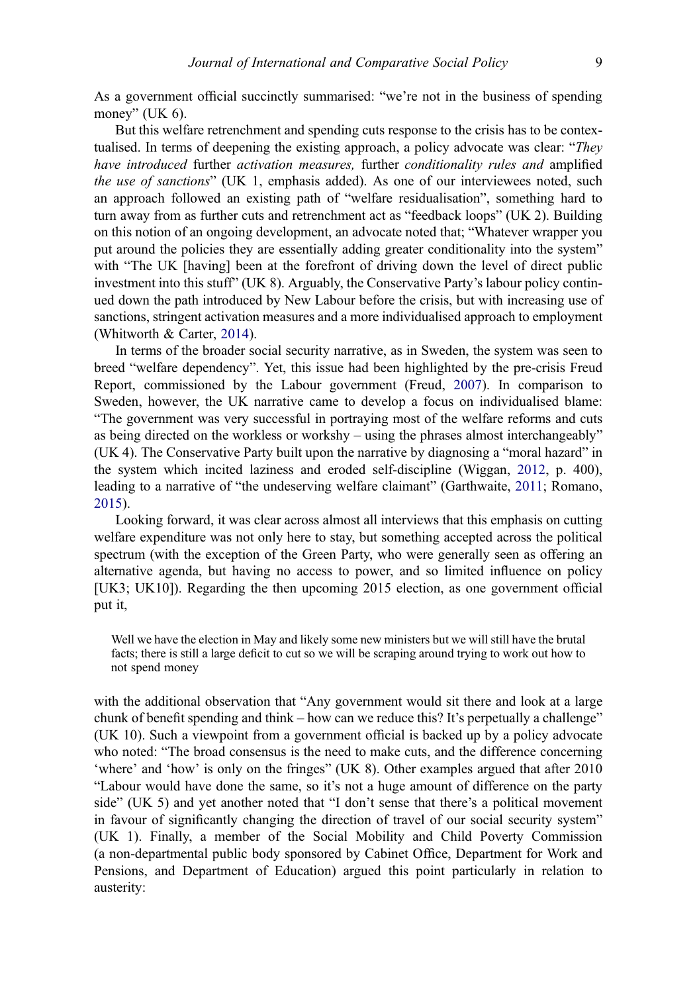<span id="page-9-0"></span>As a government official succinctly summarised: "we're not in the business of spending money" (UK 6).

But this welfare retrenchment and spending cuts response to the crisis has to be contextualised. In terms of deepening the existing approach, a policy advocate was clear: "They have introduced further activation measures, further conditionality rules and amplified the use of sanctions" (UK 1, emphasis added). As one of our interviewees noted, such an approach followed an existing path of "welfare residualisation", something hard to turn away from as further cuts and retrenchment act as "feedback loops" (UK 2). Building on this notion of an ongoing development, an advocate noted that; "Whatever wrapper you put around the policies they are essentially adding greater conditionality into the system" with "The UK [having] been at the forefront of driving down the level of direct public investment into this stuff" (UK 8). Arguably, the Conservative Party's labour policy continued down the path introduced by New Labour before the crisis, but with increasing use of sanctions, stringent activation measures and a more individualised approach to employment (Whitworth & Carter, [2014](#page-16-0)).

In terms of the broader social security narrative, as in Sweden, the system was seen to breed "welfare dependency". Yet, this issue had been highlighted by the pre-crisis Freud Report, commissioned by the Labour government (Freud, [2007](#page-15-0)). In comparison to Sweden, however, the UK narrative came to develop a focus on individualised blame: "The government was very successful in portraying most of the welfare reforms and cuts as being directed on the workless or workshy – using the phrases almost interchangeably" (UK 4). The Conservative Party built upon the narrative by diagnosing a "moral hazard" in the system which incited laziness and eroded self-discipline (Wiggan, [2012](#page-16-0), p. 400), leading to a narrative of "the undeserving welfare claimant" (Garthwaite, [2011](#page-15-0); Romano, [2015\)](#page-16-0).

Looking forward, it was clear across almost all interviews that this emphasis on cutting welfare expenditure was not only here to stay, but something accepted across the political spectrum (with the exception of the Green Party, who were generally seen as offering an alternative agenda, but having no access to power, and so limited influence on policy [UK3; UK10]). Regarding the then upcoming 2015 election, as one government official put it,

Well we have the election in May and likely some new ministers but we will still have the brutal facts; there is still a large deficit to cut so we will be scraping around trying to work out how to not spend money

with the additional observation that "Any government would sit there and look at a large chunk of benefit spending and think – how can we reduce this? It's perpetually a challenge" (UK 10). Such a viewpoint from a government official is backed up by a policy advocate who noted: "The broad consensus is the need to make cuts, and the difference concerning 'where' and 'how' is only on the fringes" (UK 8). Other examples argued that after 2010 "Labour would have done the same, so it's not a huge amount of difference on the party side" (UK 5) and yet another noted that "I don't sense that there's a political movement in favour of significantly changing the direction of travel of our social security system" (UK 1). Finally, a member of the Social Mobility and Child Poverty Commission (a non-departmental public body sponsored by Cabinet Office, Department for Work and Pensions, and Department of Education) argued this point particularly in relation to austerity: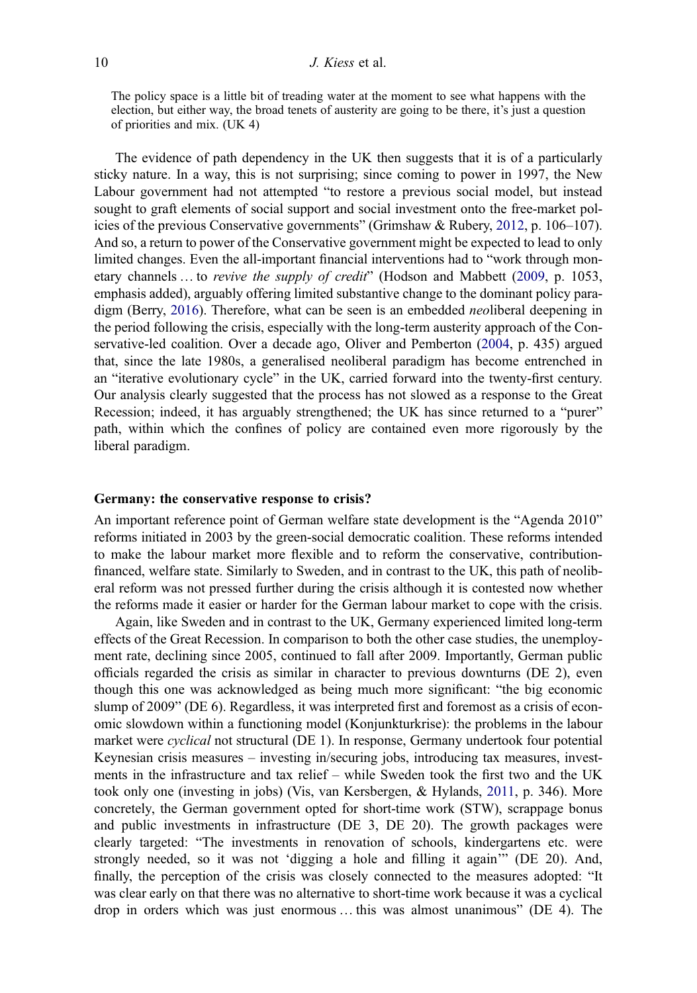<span id="page-10-0"></span>The policy space is a little bit of treading water at the moment to see what happens with the election, but either way, the broad tenets of austerity are going to be there, it's just a question of priorities and mix. (UK 4)

The evidence of path dependency in the UK then suggests that it is of a particularly sticky nature. In a way, this is not surprising; since coming to power in 1997, the New Labour government had not attempted "to restore a previous social model, but instead sought to graft elements of social support and social investment onto the free-market pol-icies of the previous Conservative governments" (Grimshaw & Rubery, [2012](#page-15-0), p. 106–107). And so, a return to power of the Conservative government might be expected to lead to only limited changes. Even the all-important financial interventions had to "work through monetary channels … to revive the supply of credit" (Hodson and Mabbett ([2009,](#page-15-0) p. 1053, emphasis added), arguably offering limited substantive change to the dominant policy para-digm (Berry, [2016\)](#page-14-0). Therefore, what can be seen is an embedded *neoliberal deepening in* the period following the crisis, especially with the long-term austerity approach of the Conservative-led coalition. Over a decade ago, Oliver and Pemberton ([2004,](#page-15-0) p. 435) argued that, since the late 1980s, a generalised neoliberal paradigm has become entrenched in an "iterative evolutionary cycle" in the UK, carried forward into the twenty-first century. Our analysis clearly suggested that the process has not slowed as a response to the Great Recession; indeed, it has arguably strengthened; the UK has since returned to a "purer" path, within which the confines of policy are contained even more rigorously by the liberal paradigm.

## Germany: the conservative response to crisis?

An important reference point of German welfare state development is the "Agenda 2010" reforms initiated in 2003 by the green-social democratic coalition. These reforms intended to make the labour market more flexible and to reform the conservative, contributionfinanced, welfare state. Similarly to Sweden, and in contrast to the UK, this path of neoliberal reform was not pressed further during the crisis although it is contested now whether the reforms made it easier or harder for the German labour market to cope with the crisis.

Again, like Sweden and in contrast to the UK, Germany experienced limited long-term effects of the Great Recession. In comparison to both the other case studies, the unemployment rate, declining since 2005, continued to fall after 2009. Importantly, German public officials regarded the crisis as similar in character to previous downturns (DE 2), even though this one was acknowledged as being much more significant: "the big economic slump of 2009" (DE 6). Regardless, it was interpreted first and foremost as a crisis of economic slowdown within a functioning model (Konjunkturkrise): the problems in the labour market were cyclical not structural (DE 1). In response, Germany undertook four potential Keynesian crisis measures – investing in/securing jobs, introducing tax measures, investments in the infrastructure and tax relief – while Sweden took the first two and the UK took only one (investing in jobs) (Vis, van Kersbergen, & Hylands, [2011](#page-16-0), p. 346). More concretely, the German government opted for short-time work (STW), scrappage bonus and public investments in infrastructure (DE 3, DE 20). The growth packages were clearly targeted: "The investments in renovation of schools, kindergartens etc. were strongly needed, so it was not 'digging a hole and filling it again'" (DE 20). And, finally, the perception of the crisis was closely connected to the measures adopted: "It was clear early on that there was no alternative to short-time work because it was a cyclical drop in orders which was just enormous … this was almost unanimous" (DE 4). The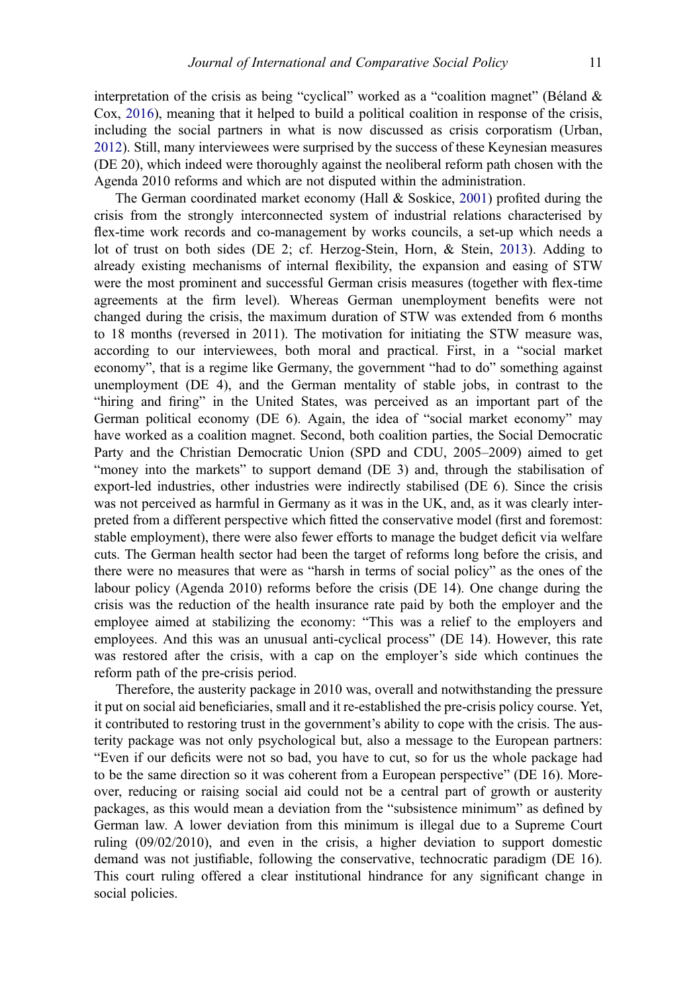<span id="page-11-0"></span>interpretation of the crisis as being "cyclical" worked as a "coalition magnet" (Béland  $\&$ Cox, [2016](#page-14-0)), meaning that it helped to build a political coalition in response of the crisis, including the social partners in what is now discussed as crisis corporatism (Urban, [2012\)](#page-16-0). Still, many interviewees were surprised by the success of these Keynesian measures (DE 20), which indeed were thoroughly against the neoliberal reform path chosen with the Agenda 2010 reforms and which are not disputed within the administration.

The German coordinated market economy (Hall & Soskice, [2001](#page-15-0)) profited during the crisis from the strongly interconnected system of industrial relations characterised by flex-time work records and co-management by works councils, a set-up which needs a lot of trust on both sides (DE 2; cf. Herzog-Stein, Horn, & Stein, [2013\)](#page-15-0). Adding to already existing mechanisms of internal flexibility, the expansion and easing of STW were the most prominent and successful German crisis measures (together with flex-time agreements at the firm level). Whereas German unemployment benefits were not changed during the crisis, the maximum duration of STW was extended from 6 months to 18 months (reversed in 2011). The motivation for initiating the STW measure was, according to our interviewees, both moral and practical. First, in a "social market economy", that is a regime like Germany, the government "had to do" something against unemployment (DE 4), and the German mentality of stable jobs, in contrast to the "hiring and firing" in the United States, was perceived as an important part of the German political economy (DE 6). Again, the idea of "social market economy" may have worked as a coalition magnet. Second, both coalition parties, the Social Democratic Party and the Christian Democratic Union (SPD and CDU, 2005–2009) aimed to get "money into the markets" to support demand (DE 3) and, through the stabilisation of export-led industries, other industries were indirectly stabilised (DE 6). Since the crisis was not perceived as harmful in Germany as it was in the UK, and, as it was clearly interpreted from a different perspective which fitted the conservative model (first and foremost: stable employment), there were also fewer efforts to manage the budget deficit via welfare cuts. The German health sector had been the target of reforms long before the crisis, and there were no measures that were as "harsh in terms of social policy" as the ones of the labour policy (Agenda 2010) reforms before the crisis (DE 14). One change during the crisis was the reduction of the health insurance rate paid by both the employer and the employee aimed at stabilizing the economy: "This was a relief to the employers and employees. And this was an unusual anti-cyclical process" (DE 14). However, this rate was restored after the crisis, with a cap on the employer's side which continues the reform path of the pre-crisis period.

Therefore, the austerity package in 2010 was, overall and notwithstanding the pressure it put on social aid beneficiaries, small and it re-established the pre-crisis policy course. Yet, it contributed to restoring trust in the government's ability to cope with the crisis. The austerity package was not only psychological but, also a message to the European partners: "Even if our deficits were not so bad, you have to cut, so for us the whole package had to be the same direction so it was coherent from a European perspective" (DE 16). Moreover, reducing or raising social aid could not be a central part of growth or austerity packages, as this would mean a deviation from the "subsistence minimum" as defined by German law. A lower deviation from this minimum is illegal due to a Supreme Court ruling (09/02/2010), and even in the crisis, a higher deviation to support domestic demand was not justifiable, following the conservative, technocratic paradigm (DE 16). This court ruling offered a clear institutional hindrance for any significant change in social policies.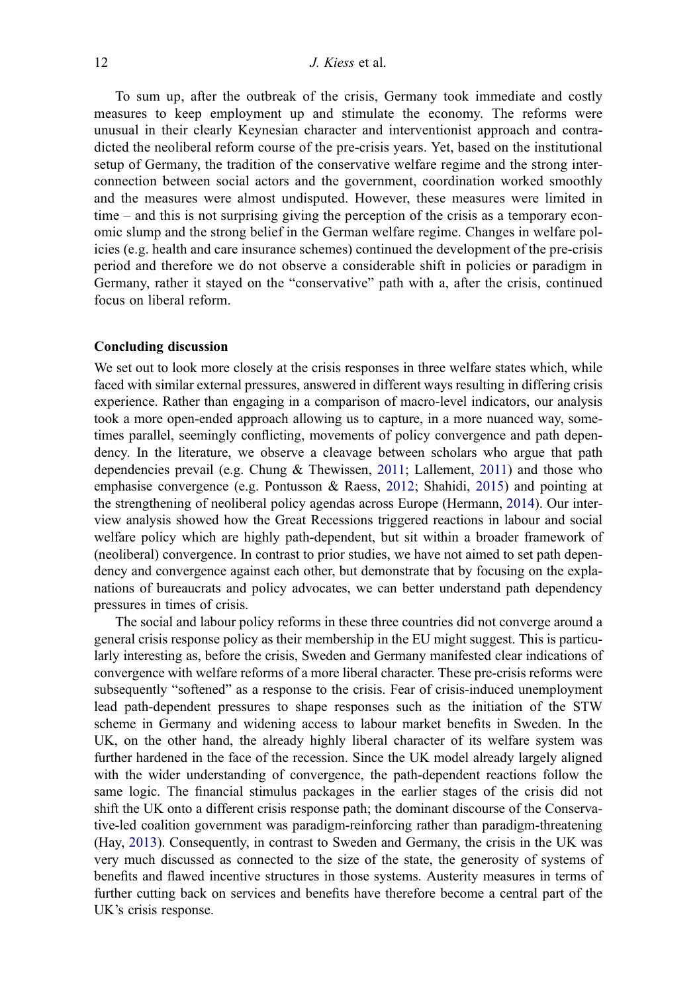<span id="page-12-0"></span>To sum up, after the outbreak of the crisis, Germany took immediate and costly measures to keep employment up and stimulate the economy. The reforms were unusual in their clearly Keynesian character and interventionist approach and contradicted the neoliberal reform course of the pre-crisis years. Yet, based on the institutional setup of Germany, the tradition of the conservative welfare regime and the strong interconnection between social actors and the government, coordination worked smoothly and the measures were almost undisputed. However, these measures were limited in time – and this is not surprising giving the perception of the crisis as a temporary economic slump and the strong belief in the German welfare regime. Changes in welfare policies (e.g. health and care insurance schemes) continued the development of the pre-crisis period and therefore we do not observe a considerable shift in policies or paradigm in Germany, rather it stayed on the "conservative" path with a, after the crisis, continued focus on liberal reform.

## Concluding discussion

We set out to look more closely at the crisis responses in three welfare states which, while faced with similar external pressures, answered in different ways resulting in differing crisis experience. Rather than engaging in a comparison of macro-level indicators, our analysis took a more open-ended approach allowing us to capture, in a more nuanced way, sometimes parallel, seemingly conflicting, movements of policy convergence and path dependency. In the literature, we observe a cleavage between scholars who argue that path dependencies prevail (e.g. Chung & Thewissen, [2011;](#page-14-0) Lallement, [2011](#page-15-0)) and those who emphasise convergence (e.g. Pontusson & Raess, [2012](#page-16-0); Shahidi, [2015\)](#page-16-0) and pointing at the strengthening of neoliberal policy agendas across Europe (Hermann, [2014\)](#page-15-0). Our interview analysis showed how the Great Recessions triggered reactions in labour and social welfare policy which are highly path-dependent, but sit within a broader framework of (neoliberal) convergence. In contrast to prior studies, we have not aimed to set path dependency and convergence against each other, but demonstrate that by focusing on the explanations of bureaucrats and policy advocates, we can better understand path dependency pressures in times of crisis.

The social and labour policy reforms in these three countries did not converge around a general crisis response policy as their membership in the EU might suggest. This is particularly interesting as, before the crisis, Sweden and Germany manifested clear indications of convergence with welfare reforms of a more liberal character. These pre-crisis reforms were subsequently "softened" as a response to the crisis. Fear of crisis-induced unemployment lead path-dependent pressures to shape responses such as the initiation of the STW scheme in Germany and widening access to labour market benefits in Sweden. In the UK, on the other hand, the already highly liberal character of its welfare system was further hardened in the face of the recession. Since the UK model already largely aligned with the wider understanding of convergence, the path-dependent reactions follow the same logic. The financial stimulus packages in the earlier stages of the crisis did not shift the UK onto a different crisis response path; the dominant discourse of the Conservative-led coalition government was paradigm-reinforcing rather than paradigm-threatening (Hay, [2013](#page-15-0)). Consequently, in contrast to Sweden and Germany, the crisis in the UK was very much discussed as connected to the size of the state, the generosity of systems of benefits and flawed incentive structures in those systems. Austerity measures in terms of further cutting back on services and benefits have therefore become a central part of the UK's crisis response.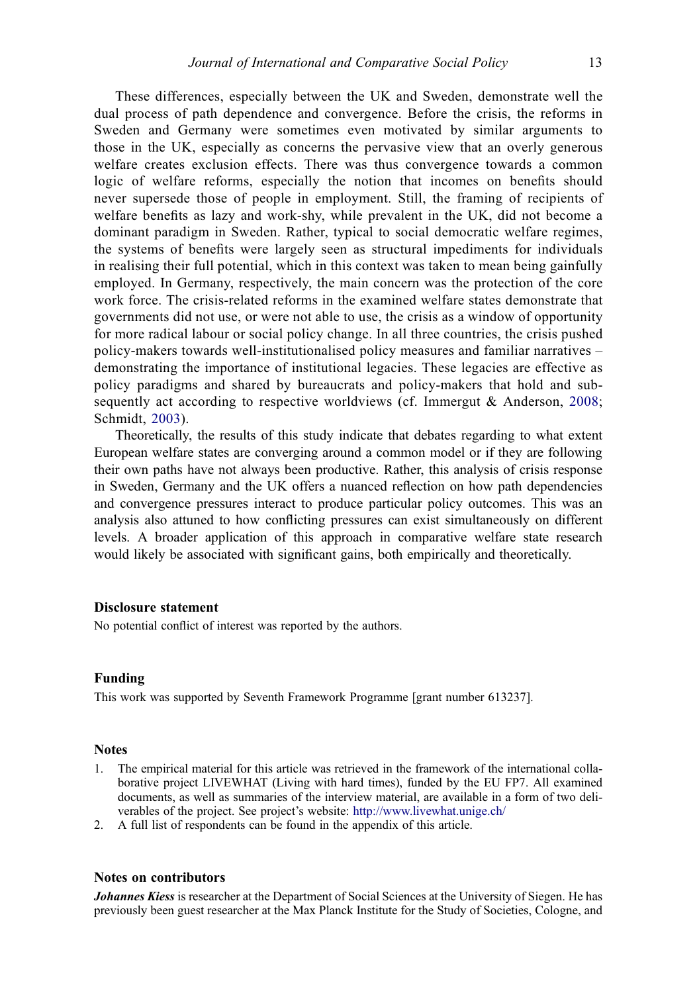<span id="page-13-0"></span>These differences, especially between the UK and Sweden, demonstrate well the dual process of path dependence and convergence. Before the crisis, the reforms in Sweden and Germany were sometimes even motivated by similar arguments to those in the UK, especially as concerns the pervasive view that an overly generous welfare creates exclusion effects. There was thus convergence towards a common logic of welfare reforms, especially the notion that incomes on benefits should never supersede those of people in employment. Still, the framing of recipients of welfare benefits as lazy and work-shy, while prevalent in the UK, did not become a dominant paradigm in Sweden. Rather, typical to social democratic welfare regimes, the systems of benefits were largely seen as structural impediments for individuals in realising their full potential, which in this context was taken to mean being gainfully employed. In Germany, respectively, the main concern was the protection of the core work force. The crisis-related reforms in the examined welfare states demonstrate that governments did not use, or were not able to use, the crisis as a window of opportunity for more radical labour or social policy change. In all three countries, the crisis pushed policy-makers towards well-institutionalised policy measures and familiar narratives – demonstrating the importance of institutional legacies. These legacies are effective as policy paradigms and shared by bureaucrats and policy-makers that hold and subsequently act according to respective worldviews (cf. Immergut & Anderson, [2008;](#page-15-0) Schmidt, [2003\)](#page-16-0).

Theoretically, the results of this study indicate that debates regarding to what extent European welfare states are converging around a common model or if they are following their own paths have not always been productive. Rather, this analysis of crisis response in Sweden, Germany and the UK offers a nuanced reflection on how path dependencies and convergence pressures interact to produce particular policy outcomes. This was an analysis also attuned to how conflicting pressures can exist simultaneously on different levels. A broader application of this approach in comparative welfare state research would likely be associated with significant gains, both empirically and theoretically.

#### Disclosure statement

No potential conflict of interest was reported by the authors.

#### Funding

This work was supported by Seventh Framework Programme [grant number 613237].

## **Notes**

- 1. The empirical material for this article was retrieved in the framework of the international collaborative project LIVEWHAT (Living with hard times), funded by the EU FP7. All examined documents, as well as summaries of the interview material, are available in a form of two deliverables of the project. See project's website: <http://www.livewhat.unige.ch/>
- 2. A full list of respondents can be found in the appendix of this article.

#### Notes on contributors

Johannes Kiess is researcher at the Department of Social Sciences at the University of Siegen. He has previously been guest researcher at the Max Planck Institute for the Study of Societies, Cologne, and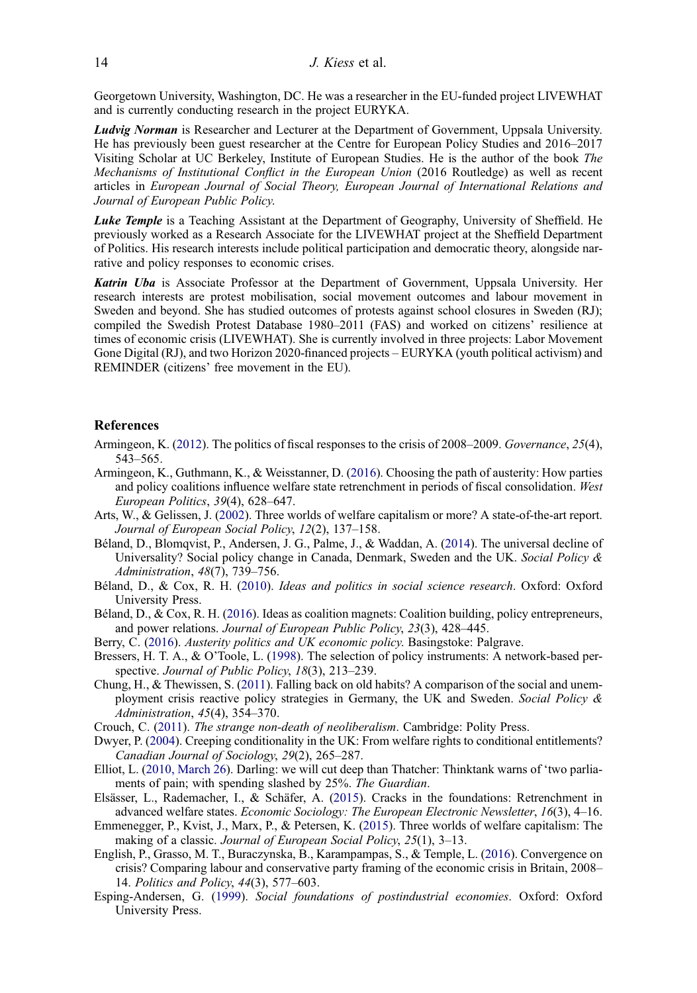<span id="page-14-0"></span>Georgetown University, Washington, DC. He was a researcher in the EU-funded project LIVEWHAT and is currently conducting research in the project EURYKA.

**Ludvig Norman** is Researcher and Lecturer at the Department of Government, Uppsala University. He has previously been guest researcher at the Centre for European Policy Studies and 2016–2017 Visiting Scholar at UC Berkeley, Institute of European Studies. He is the author of the book The Mechanisms of Institutional Conflict in the European Union (2016 Routledge) as well as recent articles in European Journal of Social Theory, European Journal of International Relations and Journal of European Public Policy.

**Luke Temple** is a Teaching Assistant at the Department of Geography, University of Sheffield. He previously worked as a Research Associate for the LIVEWHAT project at the Sheffield Department of Politics. His research interests include political participation and democratic theory, alongside narrative and policy responses to economic crises.

Katrin Uba is Associate Professor at the Department of Government, Uppsala University. Her research interests are protest mobilisation, social movement outcomes and labour movement in Sweden and beyond. She has studied outcomes of protests against school closures in Sweden (RJ); compiled the Swedish Protest Database 1980–2011 (FAS) and worked on citizens' resilience at times of economic crisis (LIVEWHAT). She is currently involved in three projects: Labor Movement Gone Digital (RJ), and two Horizon 2020-financed projects – EURYKA (youth political activism) and REMINDER (citizens' free movement in the EU).

#### References

- Armingeon, K. [\(2012](#page-1-0)). The politics of fiscal responses to the crisis of 2008–2009. Governance, 25(4), 543–565.
- Armingeon, K., Guthmann, K., & Weisstanner, D. [\(2016](#page-1-0)). Choosing the path of austerity: How parties and policy coalitions influence welfare state retrenchment in periods of fiscal consolidation. West European Politics, 39(4), 628–647.
- Arts, W., & Gelissen, J. [\(2002](#page-4-0)). Three worlds of welfare capitalism or more? A state-of-the-art report. Journal of European Social Policy, 12(2), 137–158.
- Béland, D., Blomqvist, P., Andersen, J. G., Palme, J., & Waddan, A. [\(2014](#page-2-0)). The universal decline of Universality? Social policy change in Canada, Denmark, Sweden and the UK. Social Policy & Administration, 48(7), 739–756.
- Béland, D., & Cox, R. H. ([2010\)](#page-4-0). Ideas and politics in social science research. Oxford: Oxford University Press.
- Béland, D., & Cox, R. H. ([2016\)](#page-11-0). Ideas as coalition magnets: Coalition building, policy entrepreneurs, and power relations. Journal of European Public Policy, 23(3), 428–445.
- Berry, C. [\(2016](#page-10-0)). Austerity politics and UK economic policy. Basingstoke: Palgrave.
- Bressers, H. T. A., & O'Toole, L. ([1998\)](#page-5-0). The selection of policy instruments: A network-based perspective. Journal of Public Policy, 18(3), 213-239.
- Chung, H., & Thewissen, S. ([2011](#page-1-0)). Falling back on old habits? A comparison of the social and unemployment crisis reactive policy strategies in Germany, the UK and Sweden. Social Policy  $\&$ Administration, 45(4), 354–370.
- Crouch, C. ([2011](#page-3-0)). The strange non-death of neoliberalism. Cambridge: Polity Press.
- Dwyer, P. [\(2004](#page-8-0)). Creeping conditionality in the UK: From welfare rights to conditional entitlements? Canadian Journal of Sociology, 29(2), 265–287.
- Elliot, L. [\(2010, March 26](#page-8-0)). Darling: we will cut deep than Thatcher: Thinktank warns of 'two parliaments of pain; with spending slashed by 25%. The Guardian.
- Elsässer, L., Rademacher, I., & Schäfer, A. [\(2015](#page-3-0)). Cracks in the foundations: Retrenchment in advanced welfare states. Economic Sociology: The European Electronic Newsletter, 16(3), 4–16.
- Emmenegger, P., Kvist, J., Marx, P., & Petersen, K. [\(2015](#page-2-0)). Three worlds of welfare capitalism: The making of a classic. Journal of European Social Policy, 25(1), 3–13.
- English, P., Grasso, M. T., Buraczynska, B., Karampampas, S., & Temple, L. [\(2016](#page-8-0)). Convergence on crisis? Comparing labour and conservative party framing of the economic crisis in Britain, 2008– 14. Politics and Policy, 44(3), 577–603.
- Esping-Andersen, G. ([1999\)](#page-4-0). Social foundations of postindustrial economies. Oxford: Oxford University Press.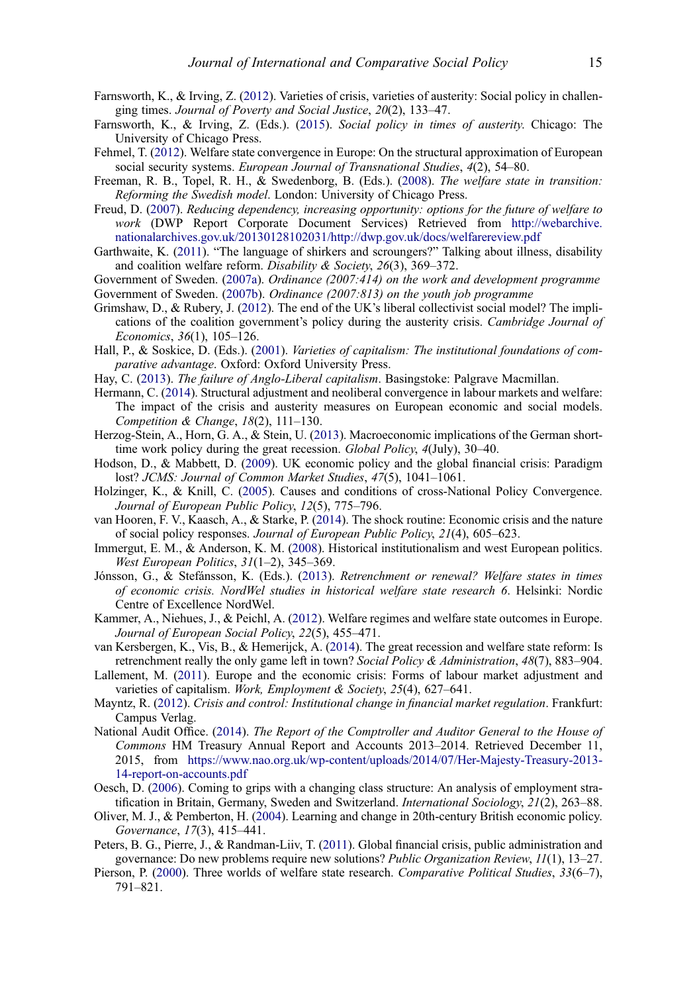- <span id="page-15-0"></span>Farnsworth, K., & Irving, Z. ([2012\)](#page-2-0). Varieties of crisis, varieties of austerity: Social policy in challenging times. Journal of Poverty and Social Justice, 20(2), 133–47.
- Farnsworth, K., & Irving, Z. (Eds.). [\(2015](#page-1-0)). Social policy in times of austerity. Chicago: The University of Chicago Press.
- Fehmel, T. [\(2012](#page-3-0)). Welfare state convergence in Europe: On the structural approximation of European social security systems. European Journal of Transnational Studies, 4(2), 54–80.
- Freeman, R. B., Topel, R. H., & Swedenborg, B. (Eds.). ([2008\)](#page-6-0). The welfare state in transition: Reforming the Swedish model. London: University of Chicago Press.
- Freud, D. [\(2007](#page-9-0)). Reducing dependency, increasing opportunity: options for the future of welfare to work (DWP Report Corporate Document Services) Retrieved from [http://webarchive.](http://webarchive.nationalarchives.gov.uk/20130128102031/http://dwp.gov.uk/docs/welfarereview.pdf) [nationalarchives.gov.uk/20130128102031/http://dwp.gov.uk/docs/welfarereview.pdf](http://webarchive.nationalarchives.gov.uk/20130128102031/http://dwp.gov.uk/docs/welfarereview.pdf)
- Garthwaite, K. ([2011](#page-9-0)). "The language of shirkers and scroungers?" Talking about illness, disability and coalition welfare reform. Disability & Society, 26(3), 369–372.
- Government of Sweden. [\(2007a](#page-6-0)). Ordinance (2007:414) on the work and development programme Government of Sweden. [\(2007b\)](#page-6-0). Ordinance (2007:813) on the youth job programme
- Grimshaw, D., & Rubery, J. [\(2012](#page-10-0)). The end of the UK's liberal collectivist social model? The implications of the coalition government's policy during the austerity crisis. Cambridge Journal of Economics, 36(1), 105–126.
- Hall, P., & Soskice, D. (Eds.). ([2001\)](#page-11-0). Varieties of capitalism: The institutional foundations of comparative advantage. Oxford: Oxford University Press.
- Hay, C. ([2013\)](#page-12-0). The failure of Anglo-Liberal capitalism. Basingstoke: Palgrave Macmillan.
- Hermann, C. [\(2014](#page-2-0)). Structural adjustment and neoliberal convergence in labour markets and welfare: The impact of the crisis and austerity measures on European economic and social models. Competition & Change, 18(2), 111–130.
- Herzog-Stein, A., Horn, G. A., & Stein, U. [\(2013](#page-11-0)). Macroeconomic implications of the German shorttime work policy during the great recession. Global Policy, 4(July), 30–40.
- Hodson, D., & Mabbett, D. ([2009\)](#page-10-0). UK economic policy and the global financial crisis: Paradigm lost? JCMS: Journal of Common Market Studies, 47(5), 1041–1061.
- Holzinger, K., & Knill, C. ([2005\)](#page-4-0). Causes and conditions of cross-National Policy Convergence. Journal of European Public Policy, 12(5), 775–796.
- van Hooren, F. V., Kaasch, A., & Starke, P. ([2014\)](#page-1-0). The shock routine: Economic crisis and the nature of social policy responses. Journal of European Public Policy, 21(4), 605–623.
- Immergut, E. M., & Anderson, K. M. ([2008\)](#page-3-0). Historical institutionalism and west European politics. West European Politics, 31(1–2), 345–369.
- Jónsson, G., & Stefánsson, K. (Eds.). [\(2013\)](#page-1-0). Retrenchment or renewal? Welfare states in times of economic crisis. NordWel studies in historical welfare state research 6. Helsinki: Nordic Centre of Excellence NordWel.
- Kammer, A., Niehues, J., & Peichl, A. ([2012](#page-2-0)). Welfare regimes and welfare state outcomes in Europe. Journal of European Social Policy, 22(5), 455–471.
- van Kersbergen, K., Vis, B., & Hemerijck, A. [\(2014](#page-1-0)). The great recession and welfare state reform: Is retrenchment really the only game left in town? Social Policy & Administration, 48(7), 883–904.
- Lallement, M. ([2011](#page-2-0)). Europe and the economic crisis: Forms of labour market adjustment and varieties of capitalism. Work, Employment & Society, 25(4), 627-641.
- Mayntz, R. ([2012\)](#page-3-0). Crisis and control: Institutional change in financial market regulation. Frankfurt: Campus Verlag.
- National Audit Office. [\(2014](#page-8-0)). The Report of the Comptroller and Auditor General to the House of Commons HM Treasury Annual Report and Accounts 2013-2014. Retrieved December 11, 2015, from [https://www.nao.org.uk/wp-content/uploads/2014/07/Her-Majesty-Treasury-2013-](https://www.nao.org.uk/wp-content/uploads/2014/07/Her-Majesty-Treasury-2013-14-report-on-accounts.pdf) [14-report-on-accounts.pdf](https://www.nao.org.uk/wp-content/uploads/2014/07/Her-Majesty-Treasury-2013-14-report-on-accounts.pdf)
- Oesch, D. ([2006\)](#page-2-0). Coming to grips with a changing class structure: An analysis of employment stratification in Britain, Germany, Sweden and Switzerland. *International Sociology*, 21(2), 263–88.
- Oliver, M. J., & Pemberton, H. [\(2004](#page-10-0)). Learning and change in 20th-century British economic policy. Governance, 17(3), 415–441.
- Peters, B. G., Pierre, J., & Randman-Liiv, T. ([2011](#page-3-0)). Global financial crisis, public administration and governance: Do new problems require new solutions? Public Organization Review, 11(1), 13–27.
- Pierson, P. ([2000\)](#page-2-0). Three worlds of welfare state research. Comparative Political Studies, 33(6–7), 791–821.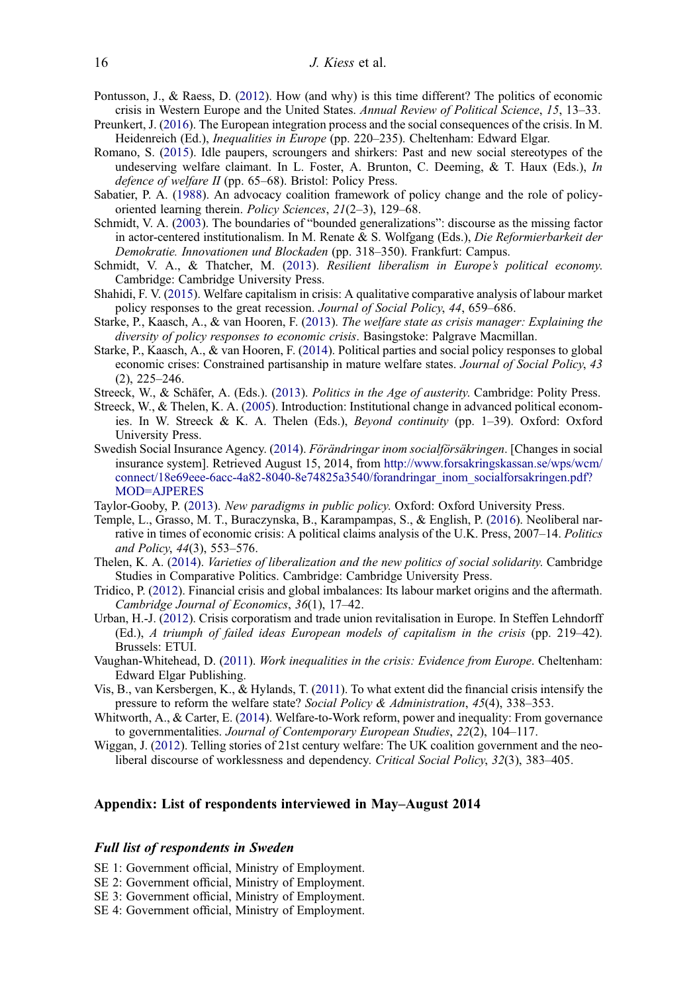- <span id="page-16-0"></span>Pontusson, J., & Raess, D. ([2012\)](#page-1-0). How (and why) is this time different? The politics of economic crisis in Western Europe and the United States. Annual Review of Political Science, 15, 13–33.
- Preunkert, J. ([2016\)](#page-3-0). The European integration process and the social consequences of the crisis. In M. Heidenreich (Ed.), Inequalities in Europe (pp. 220-235). Cheltenham: Edward Elgar.
- Romano, S. ([2015](#page-9-0)). Idle paupers, scroungers and shirkers: Past and new social stereotypes of the undeserving welfare claimant. In L. Foster, A. Brunton, C. Deeming, & T. Haux (Eds.), In defence of welfare II (pp. 65–68). Bristol: Policy Press.
- Sabatier, P. A. [\(1988](#page-5-0)). An advocacy coalition framework of policy change and the role of policyoriented learning therein. Policy Sciences, 21(2–3), 129–68.
- Schmidt, V. A. ([2003\)](#page-2-0). The boundaries of "bounded generalizations": discourse as the missing factor in actor-centered institutionalism. In M. Renate & S. Wolfgang (Eds.), Die Reformierbarkeit der Demokratie. Innovationen und Blockaden (pp. 318–350). Frankfurt: Campus.
- Schmidt, V. A., & Thatcher, M. ([2013\)](#page-3-0). Resilient liberalism in Europe's political economy. Cambridge: Cambridge University Press.
- Shahidi, F. V. ([2015\)](#page-1-0). Welfare capitalism in crisis: A qualitative comparative analysis of labour market policy responses to the great recession. Journal of Social Policy, 44, 659–686.
- Starke, P., Kaasch, A., & van Hooren, F. [\(2013](#page-1-0)). The welfare state as crisis manager: Explaining the diversity of policy responses to economic crisis. Basingstoke: Palgrave Macmillan.
- Starke, P., Kaasch, A., & van Hooren, F. [\(2014](#page-1-0)). Political parties and social policy responses to global economic crises: Constrained partisanship in mature welfare states. Journal of Social Policy, 43 (2), 225–246.
- Streeck, W., & Schäfer, A. (Eds.). [\(2013](#page-1-0)). Politics in the Age of austerity. Cambridge: Polity Press.
- Streeck, W., & Thelen, K. A. ([2005\)](#page-3-0). Introduction: Institutional change in advanced political economies. In W. Streeck & K. A. Thelen (Eds.), Beyond continuity (pp. 1–39). Oxford: Oxford University Press.
- Swedish Social Insurance Agency. ([2014\)](#page-6-0). Förändringar inom socialförsäkringen. [Changes in social insurance system]. Retrieved August 15, 2014, from [http://www.forsakringskassan.se/wps/wcm/](http://www.forsakringskassan.se/wps/wcm/connect/18e69eee-6acc-4a82-8040-8e74825a3540/forandringar_inom_socialforsakringen.pdf?MOD=AJPERES) [connect/18e69eee-6acc-4a82-8040-8e74825a3540/forandringar\\_inom\\_socialforsakringen.pdf?](http://www.forsakringskassan.se/wps/wcm/connect/18e69eee-6acc-4a82-8040-8e74825a3540/forandringar_inom_socialforsakringen.pdf?MOD=AJPERES) [MOD=AJPERES](http://www.forsakringskassan.se/wps/wcm/connect/18e69eee-6acc-4a82-8040-8e74825a3540/forandringar_inom_socialforsakringen.pdf?MOD=AJPERES)
- Taylor-Gooby, P. [\(2013](#page-1-0)). New paradigms in public policy. Oxford: Oxford University Press.
- Temple, L., Grasso, M. T., Buraczynska, B., Karampampas, S., & English, P. [\(2016](#page-8-0)). Neoliberal narrative in times of economic crisis: A political claims analysis of the U.K. Press, 2007–14. Politics and Policy, 44(3), 553–576.
- Thelen, K. A. [\(2014](#page-2-0)). Varieties of liberalization and the new politics of social solidarity. Cambridge Studies in Comparative Politics. Cambridge: Cambridge University Press.
- Tridico, P. [\(2012](#page-3-0)). Financial crisis and global imbalances: Its labour market origins and the aftermath. Cambridge Journal of Economics, 36(1), 17–42.
- Urban, H.-J. ([2012\)](#page-11-0). Crisis corporatism and trade union revitalisation in Europe. In Steffen Lehndorff (Ed.), A triumph of failed ideas European models of capitalism in the crisis (pp. 219–42). Brussels: ETUI.
- Vaughan-Whitehead, D. [\(2011](#page-3-0)). Work inequalities in the crisis: Evidence from Europe. Cheltenham: Edward Elgar Publishing.
- Vis, B., van Kersbergen, K., & Hylands, T. [\(2011](#page-10-0)). To what extent did the financial crisis intensify the pressure to reform the welfare state? Social Policy & Administration, 45(4), 338–353.
- Whitworth, A., & Carter, E. ([2014\)](#page-8-0). Welfare-to-Work reform, power and inequality: From governance to governmentalities. Journal of Contemporary European Studies, 22(2), 104–117.
- Wiggan, J. ([2012\)](#page-9-0). Telling stories of 21st century welfare: The UK coalition government and the neoliberal discourse of worklessness and dependency. Critical Social Policy, 32(3), 383-405.

## Appendix: List of respondents interviewed in May–August 2014

#### Full list of respondents in Sweden

- SE 1: Government official, Ministry of Employment.
- SE 2: Government official, Ministry of Employment.
- SE 3: Government official, Ministry of Employment.
- SE 4: Government official, Ministry of Employment.